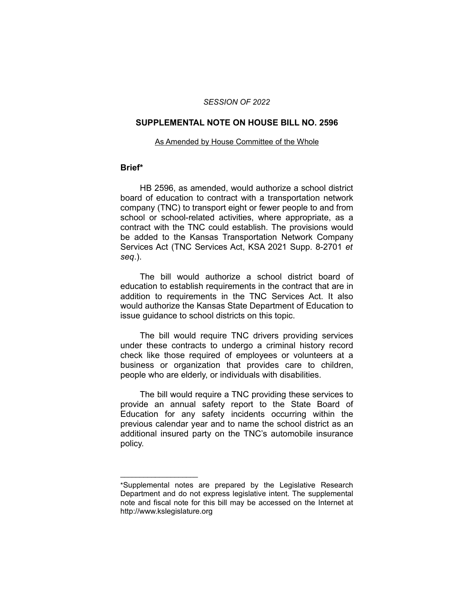#### *SESSION OF 2022*

#### **SUPPLEMENTAL NOTE ON HOUSE BILL NO. 2596**

#### As Amended by House Committee of the Whole

#### **Brief\***

HB 2596, as amended, would authorize a school district board of education to contract with a transportation network company (TNC) to transport eight or fewer people to and from school or school-related activities, where appropriate, as a contract with the TNC could establish. The provisions would be added to the Kansas Transportation Network Company Services Act (TNC Services Act, KSA 2021 Supp. 8-2701 *et seq*.).

The bill would authorize a school district board of education to establish requirements in the contract that are in addition to requirements in the TNC Services Act. It also would authorize the Kansas State Department of Education to issue guidance to school districts on this topic.

The bill would require TNC drivers providing services under these contracts to undergo a criminal history record check like those required of employees or volunteers at a business or organization that provides care to children, people who are elderly, or individuals with disabilities.

The bill would require a TNC providing these services to provide an annual safety report to the State Board of Education for any safety incidents occurring within the previous calendar year and to name the school district as an additional insured party on the TNC's automobile insurance policy.

 $\overline{\phantom{a}}$  , where  $\overline{\phantom{a}}$  , where  $\overline{\phantom{a}}$ 

<sup>\*</sup>Supplemental notes are prepared by the Legislative Research Department and do not express legislative intent. The supplemental note and fiscal note for this bill may be accessed on the Internet at http://www.kslegislature.org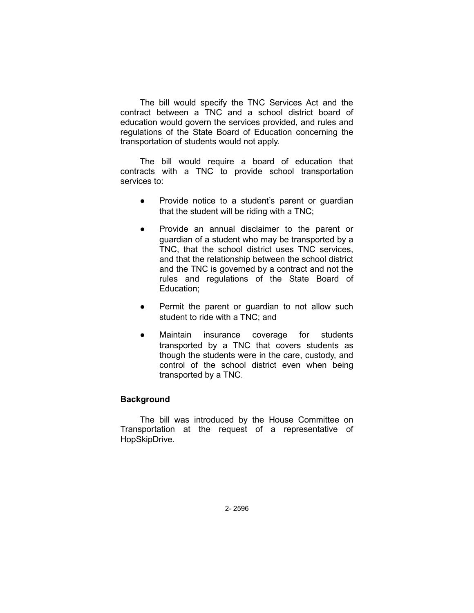The bill would specify the TNC Services Act and the contract between a TNC and a school district board of education would govern the services provided, and rules and regulations of the State Board of Education concerning the transportation of students would not apply.

The bill would require a board of education that contracts with a TNC to provide school transportation services to:

- Provide notice to a student's parent or guardian that the student will be riding with a TNC;
- Provide an annual disclaimer to the parent or guardian of a student who may be transported by a TNC, that the school district uses TNC services, and that the relationship between the school district and the TNC is governed by a contract and not the rules and regulations of the State Board of Education;
- Permit the parent or guardian to not allow such student to ride with a TNC; and
- Maintain insurance coverage for students transported by a TNC that covers students as though the students were in the care, custody, and control of the school district even when being transported by a TNC.

## **Background**

The bill was introduced by the House Committee on Transportation at the request of a representative of HopSkipDrive.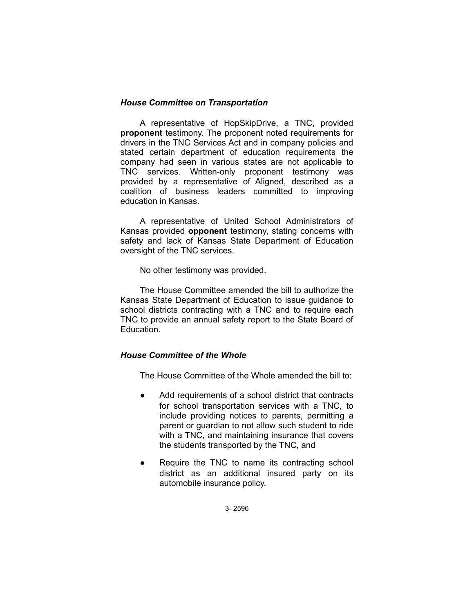# *House Committee on Transportation*

A representative of HopSkipDrive, a TNC, provided **proponent** testimony. The proponent noted requirements for drivers in the TNC Services Act and in company policies and stated certain department of education requirements the company had seen in various states are not applicable to TNC services. Written-only proponent testimony was provided by a representative of Aligned, described as a coalition of business leaders committed to improving education in Kansas.

A representative of United School Administrators of Kansas provided **opponent** testimony, stating concerns with safety and lack of Kansas State Department of Education oversight of the TNC services.

No other testimony was provided.

The House Committee amended the bill to authorize the Kansas State Department of Education to issue guidance to school districts contracting with a TNC and to require each TNC to provide an annual safety report to the State Board of Education.

## *House Committee of the Whole*

The House Committee of the Whole amended the bill to:

- Add requirements of a school district that contracts for school transportation services with a TNC, to include providing notices to parents, permitting a parent or guardian to not allow such student to ride with a TNC, and maintaining insurance that covers the students transported by the TNC, and
- Require the TNC to name its contracting school district as an additional insured party on its automobile insurance policy.